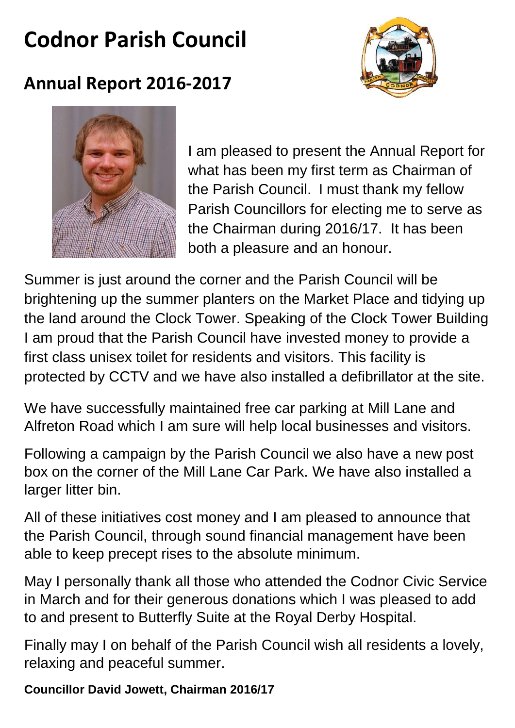# **Codnor Parish Council**



## **Annual Report 2016-2017**



I am pleased to present the Annual Report for what has been my first term as Chairman of the Parish Council. I must thank my fellow Parish Councillors for electing me to serve as the Chairman during 2016/17. It has been both a pleasure and an honour.

Summer is just around the corner and the Parish Council will be brightening up the summer planters on the Market Place and tidying up the land around the Clock Tower. Speaking of the Clock Tower Building I am proud that the Parish Council have invested money to provide a first class unisex toilet for residents and visitors. This facility is protected by CCTV and we have also installed a defibrillator at the site.

We have successfully maintained free car parking at Mill Lane and Alfreton Road which I am sure will help local businesses and visitors.

Following a campaign by the Parish Council we also have a new post box on the corner of the Mill Lane Car Park. We have also installed a larger litter bin.

All of these initiatives cost money and I am pleased to announce that the Parish Council, through sound financial management have been able to keep precept rises to the absolute minimum.

May I personally thank all those who attended the Codnor Civic Service in March and for their generous donations which I was pleased to add to and present to Butterfly Suite at the Royal Derby Hospital.

Finally may I on behalf of the Parish Council wish all residents a lovely, relaxing and peaceful summer.

**Councillor David Jowett, Chairman 2016/17**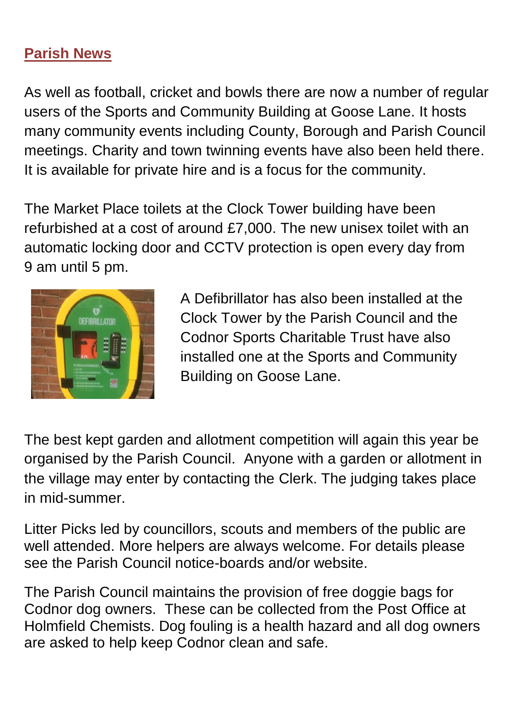## **Parish News**

As well as football, cricket and bowls there are now a number of regular users of the Sports and Community Building at Goose Lane. It hosts many community events including County, Borough and Parish Council meetings. Charity and town twinning events have also been held there. It is available for private hire and is a focus for the community.

The Market Place toilets at the Clock Tower building have been refurbished at a cost of around £7,000. The new unisex toilet with an automatic locking door and CCTV protection is open every day from 9 am until 5 pm.



A Defibrillator has also been installed at the Clock Tower by the Parish Council and the Codnor Sports Charitable Trust have also installed one at the Sports and Community Building on Goose Lane.

The best kept garden and allotment competition will again this year be organised by the Parish Council. Anyone with a garden or allotment in the village may enter by contacting the Clerk. The judging takes place in mid-summer.

Litter Picks led by councillors, scouts and members of the public are well attended. More helpers are always welcome. For details please see the Parish Council notice-boards and/or website.

The Parish Council maintains the provision of free doggie bags for Codnor dog owners. These can be collected from the Post Office at Holmfield Chemists. Dog fouling is a health hazard and all dog owners are asked to help keep Codnor clean and safe.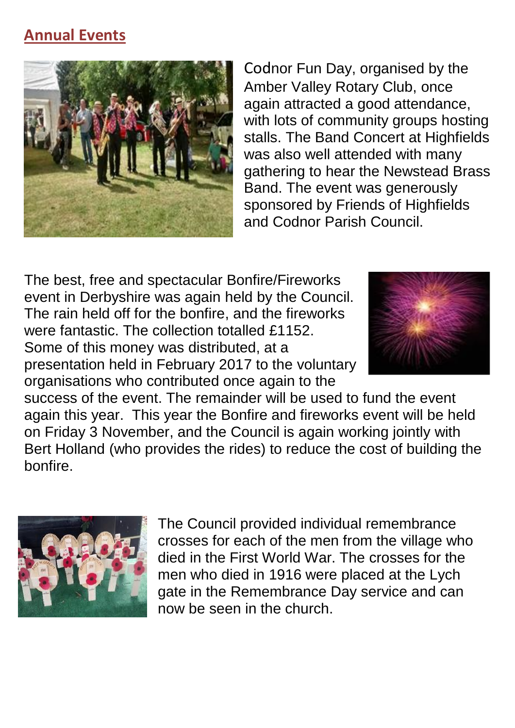## **Annual Events**



Codnor Fun Day, organised by the Amber Valley Rotary Club, once again attracted a good attendance, with lots of community groups hosting stalls. The Band Concert at Highfields was also well attended with many gathering to hear the Newstead Brass Band. The event was generously sponsored by Friends of Highfields and Codnor Parish Council.

The best, free and spectacular Bonfire/Fireworks event in Derbyshire was again held by the Council. The rain held off for the bonfire, and the fireworks were fantastic. The collection totalled £1152. Some of this money was distributed, at a presentation held in February 2017 to the voluntary organisations who contributed once again to the



success of the event. The remainder will be used to fund the event again this year. This year the Bonfire and fireworks event will be held on Friday 3 November, and the Council is again working jointly with Bert Holland (who provides the rides) to reduce the cost of building the bonfire.



The Council provided individual remembrance crosses for each of the men from the village who died in the First World War. The crosses for the men who died in 1916 were placed at the Lych gate in the Remembrance Day service and can now be seen in the church.